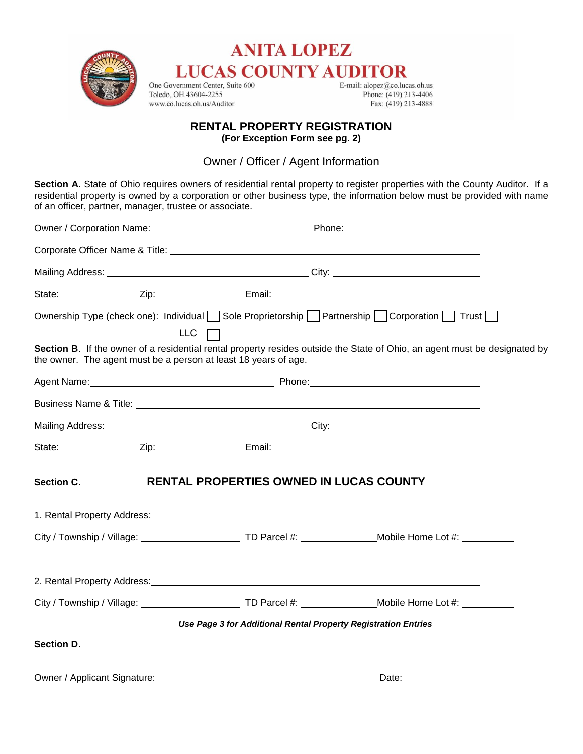

# **ANITA LOPEZ LUCAS COUNTY AUDITOR**

One Government Center, Suite 600 Toledo, OH 43604-2255 www.co.lucas.oh.us/Auditor

E-mail:  $alopez@co.lucas.oh.us$ Phone: (419) 213-4406 Fax: (419) 213-4888

## **RENTAL PROPERTY REGISTRATION**

**(For Exception Form see pg. 2)** 

Owner / Officer / Agent Information

**Section A**. State of Ohio requires owners of residential rental property to register properties with the County Auditor. If a residential property is owned by a corporation or other business type, the information below must be provided with name of an officer, partner, manager, trustee or associate.

|                              | LLC $\Box$                                                                                                                                                                                                                          | Ownership Type (check one): Individual Sole Proprietorship Partnership Corporation T Trust                                 |  |
|------------------------------|-------------------------------------------------------------------------------------------------------------------------------------------------------------------------------------------------------------------------------------|----------------------------------------------------------------------------------------------------------------------------|--|
|                              | the owner. The agent must be a person at least 18 years of age.                                                                                                                                                                     | Section B. If the owner of a residential rental property resides outside the State of Ohio, an agent must be designated by |  |
|                              |                                                                                                                                                                                                                                     |                                                                                                                            |  |
|                              |                                                                                                                                                                                                                                     |                                                                                                                            |  |
|                              |                                                                                                                                                                                                                                     |                                                                                                                            |  |
|                              |                                                                                                                                                                                                                                     |                                                                                                                            |  |
| Section C.                   | RENTAL PROPERTIES OWNED IN LUCAS COUNTY                                                                                                                                                                                             |                                                                                                                            |  |
|                              | 1. Rental Property Address: <u>2008 Communications</u> of the Contract of the Contract of the Contract of the Contract of the Contract of the Contract of the Contract of the Contract of the Contract of the Contract of the Contr |                                                                                                                            |  |
|                              |                                                                                                                                                                                                                                     |                                                                                                                            |  |
|                              | 2. Rental Property Address: <u>2008 Communications</u> Control and The Property Address Communications Control and The                                                                                                              |                                                                                                                            |  |
|                              |                                                                                                                                                                                                                                     | City / Township / Village: _____________________________TD Parcel #: ________________Mobile Home Lot #: ___________        |  |
|                              | Use Page 3 for Additional Rental Property Registration Entries                                                                                                                                                                      |                                                                                                                            |  |
| <b>Section D.</b>            |                                                                                                                                                                                                                                     |                                                                                                                            |  |
| Owner / Applicant Signature: |                                                                                                                                                                                                                                     | Date:                                                                                                                      |  |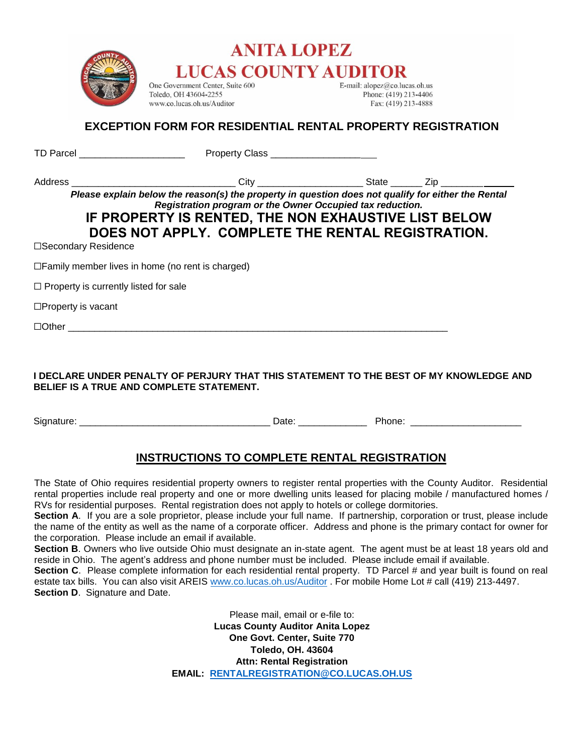



One Government Center, Suite 600 Toledo, OH 43604-2255 www.co.lucas.oh.us/Auditor

E-mail: alopez@co.lucas.oh.us Phone: (419) 213-4406 Fax: (419) 213-4888

#### **EXCEPTION FORM FOR RESIDENTIAL RENTAL PROPERTY REGISTRATION**

| TD Parcel <u>New York Communication</u>                 |                                                                                                                                                                                                                                                                              |  |
|---------------------------------------------------------|------------------------------------------------------------------------------------------------------------------------------------------------------------------------------------------------------------------------------------------------------------------------------|--|
|                                                         |                                                                                                                                                                                                                                                                              |  |
| □Secondary Residence                                    | Please explain below the reason(s) the property in question does not qualify for either the Rental<br>Registration program or the Owner Occupied tax reduction.<br>IF PROPERTY IS RENTED, THE NON EXHAUSTIVE LIST BELOW<br>DOES NOT APPLY. COMPLETE THE RENTAL REGISTRATION. |  |
| $\Box$ Family member lives in home (no rent is charged) |                                                                                                                                                                                                                                                                              |  |
| $\Box$ Property is currently listed for sale            |                                                                                                                                                                                                                                                                              |  |
| $\square$ Property is vacant                            |                                                                                                                                                                                                                                                                              |  |
|                                                         |                                                                                                                                                                                                                                                                              |  |

**I DECLARE UNDER PENALTY OF PERJURY THAT THIS STATEMENT TO THE BEST OF MY KNOWLEDGE AND BELIEF IS A TRUE AND COMPLETE STATEMENT.** 

Signature: \_\_\_\_\_\_\_\_\_\_\_\_\_\_\_\_\_\_\_\_\_\_\_\_\_\_\_\_\_\_\_\_\_\_\_\_ Date: \_\_\_\_\_\_\_\_\_\_\_\_\_ Phone: \_\_\_\_\_\_\_\_\_\_\_\_\_\_\_\_\_\_\_\_\_

#### **INSTRUCTIONS TO COMPLETE RENTAL REGISTRATION**

The State of Ohio requires residential property owners to register rental properties with the County Auditor. Residential rental properties include real property and one or more dwelling units leased for placing mobile / manufactured homes / RVs for residential purposes. Rental registration does not apply to hotels or college dormitories.

**Section A**. If you are a sole proprietor, please include your full name. If partnership, corporation or trust, please include the name of the entity as well as the name of a corporate officer. Address and phone is the primary contact for owner for the corporation. Please include an email if available.

**Section B**. Owners who live outside Ohio must designate an in-state agent. The agent must be at least 18 years old and reside in Ohio. The agent's address and phone number must be included. Please include email if available.

**Section C**. Please complete information for each residential rental property. TD Parcel # and year built is found on real estate tax bills. You can also visit AREIS [www.co.lucas.oh.us/Auditor](http://www.co.lucas.oh.us/Auditor) . For mobile Home Lot # call (419) 213-4497. **Section D**. Signature and Date.

> Please mail, email or e-file to: **Lucas County Auditor Anita Lopez One Govt. Center, Suite 770 Toledo, OH. 43604 Attn: Rental Registration EMAIL: [RENTALREGISTRATION@CO.LUCAS.OH.US](mailto:RENTALREGISTRATION@CO.LUCAS.OH.US)**